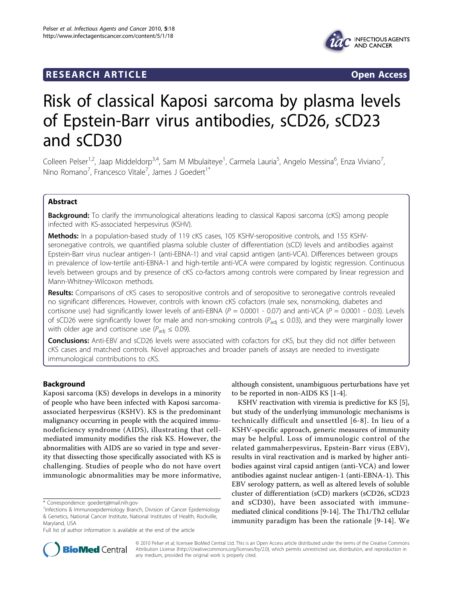## **RESEARCH ARTICLE Example 2018 CONSIDERING ACCESS**



# Risk of classical Kaposi sarcoma by plasma levels of Epstein-Barr virus antibodies, sCD26, sCD23 and sCD30

Colleen Pelser<sup>1,2</sup>, Jaap Middeldorp<sup>3,4</sup>, Sam M Mbulaiteye<sup>1</sup>, Carmela Lauria<sup>5</sup>, Angelo Messina<sup>6</sup>, Enza Viviano<sup>7</sup> , Nino Romano<sup>7</sup>, Francesco Vitale<sup>7</sup>, James J Goedert<sup>1\*</sup>

## Abstract

**Background:** To clarify the immunological alterations leading to classical Kaposi sarcoma (cKS) among people infected with KS-associated herpesvirus (KSHV).

Methods: In a population-based study of 119 cKS cases, 105 KSHV-seropositive controls, and 155 KSHVseronegative controls, we quantified plasma soluble cluster of differentiation (sCD) levels and antibodies against Epstein-Barr virus nuclear antigen-1 (anti-EBNA-1) and viral capsid antigen (anti-VCA). Differences between groups in prevalence of low-tertile anti-EBNA-1 and high-tertile anti-VCA were compared by logistic regression. Continuous levels between groups and by presence of cKS co-factors among controls were compared by linear regression and Mann-Whitney-Wilcoxon methods.

Results: Comparisons of cKS cases to seropositive controls and of seropositive to seronegative controls revealed no significant differences. However, controls with known cKS cofactors (male sex, nonsmoking, diabetes and cortisone use) had significantly lower levels of anti-EBNA ( $P = 0.0001 - 0.07$ ) and anti-VCA ( $P = 0.0001 - 0.03$ ). Levels of sCD26 were significantly lower for male and non-smoking controls ( $P_{\text{adj}} \le 0.03$ ), and they were marginally lower with older age and cortisone use ( $P_{\text{adj}} \leq 0.09$ ).

**Conclusions:** Anti-EBV and sCD26 levels were associated with cofactors for cKS, but they did not differ between cKS cases and matched controls. Novel approaches and broader panels of assays are needed to investigate immunological contributions to cKS.

## Background

Kaposi sarcoma (KS) develops in develops in a minority of people who have been infected with Kaposi sarcomaassociated herpesvirus (KSHV). KS is the predominant malignancy occurring in people with the acquired immunodeficiency syndrome (AIDS), illustrating that cellmediated immunity modifies the risk KS. However, the abnormalities with AIDS are so varied in type and severity that dissecting those specifically associated with KS is challenging. Studies of people who do not have overt immunologic abnormalities may be more informative,

although consistent, unambiguous perturbations have yet to be reported in non-AIDS KS [[1-4](#page-3-0)].

KSHV reactivation with viremia is predictive for KS [\[5](#page-3-0)], but study of the underlying immunologic mechanisms is technically difficult and unsettled [[6-8](#page-3-0)]. In lieu of a KSHV-specific approach, generic measures of immunity may be helpful. Loss of immunologic control of the related gammaherpesvirus, Epstein-Barr virus (EBV), results in viral reactivation and is marked by higher antibodies against viral capsid antigen (anti-VCA) and lower antibodies against nuclear antigen-1 (anti-EBNA-1). This EBV serology pattern, as well as altered levels of soluble cluster of differentiation (sCD) markers (sCD26, sCD23 and sCD30), have been associated with immunemediated clinical conditions [\[9](#page-3-0)-[14\]](#page-4-0). The Th1/Th2 cellular immunity paradigm has been the rationale [[9-](#page-3-0)[14](#page-4-0)]. We



© 2010 Pelser et al; licensee BioMed Central Ltd. This is an Open Access article distributed under the terms of the Creative Commons Attribution License [\(http://creativecommons.org/licenses/by/2.0](http://creativecommons.org/licenses/by/2.0)), which permits unrestricted use, distribution, and reproduction in any medium, provided the original work is properly cited.

<sup>\*</sup> Correspondence: [goedertj@mail.nih.gov](mailto:goedertj@mail.nih.gov)

<sup>&</sup>lt;sup>1</sup>Infections & Immunoepidemiology Branch, Division of Cancer Epidemiology & Genetics, National Cancer Institute, National Institutes of Health, Rockville, Maryland, USA

Full list of author information is available at the end of the article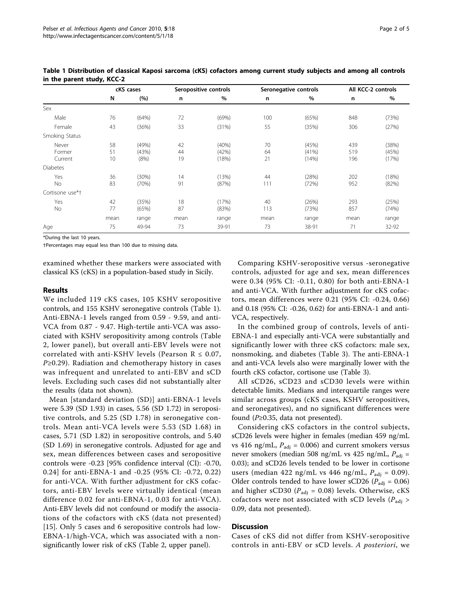|                            | cKS cases      |                        | Seropositive controls |                         | Seronegative controls |                         | All KCC-2 controls |                         |
|----------------------------|----------------|------------------------|-----------------------|-------------------------|-----------------------|-------------------------|--------------------|-------------------------|
|                            | N              | (%)                    | n                     | $\%$                    | n                     | %                       | n                  | %                       |
| Sex                        |                |                        |                       |                         |                       |                         |                    |                         |
| Male                       | 76             | (64%)                  | 72                    | (69%)                   | 100                   | (65%)                   | 848                | (73%)                   |
| Female                     | 43             | (36%)                  | 33                    | (31%)                   | 55                    | (35%)                   | 306                | (27%)                   |
| Smoking Status             |                |                        |                       |                         |                       |                         |                    |                         |
| Never<br>Former<br>Current | 58<br>51<br>10 | (49%)<br>(43%)<br>(8%) | 42<br>44<br>19        | (40%)<br>(42%)<br>(18%) | 70<br>64<br>21        | (45%)<br>(41%)<br>(14%) | 439<br>519<br>196  | (38%)<br>(45%)<br>(17%) |
| <b>Diabetes</b>            |                |                        |                       |                         |                       |                         |                    |                         |
| Yes<br>No                  | 36<br>83       | (30%)<br>(70%)         | 14<br>91              | (13%)<br>(87%)          | 44<br>111             | (28%)<br>(72%)          | 202<br>952         | (18%)<br>(82%)          |
| Cortisone use*†            |                |                        |                       |                         |                       |                         |                    |                         |
| Yes<br>No                  | 42<br>77       | (35%)<br>(65%)         | 18<br>87              | (17%)<br>(83%)          | 40<br>113             | (26%)<br>(73%)          | 293<br>857         | (25%)<br>(74%)          |
|                            | mean           | range                  | mean                  | range                   | mean                  | range                   | mean               | range                   |
| Age                        | 75             | 49-94                  | 73                    | 39-91                   | 73                    | 38-91                   | 71                 | 32-92                   |

Table 1 Distribution of classical Kaposi sarcoma (cKS) cofactors among current study subjects and among all controls in the parent study, KCC-2

\*During the last 10 years.

†Percentages may equal less than 100 due to missing data.

examined whether these markers were associated with classical KS (cKS) in a population-based study in Sicily.

## Results

We included 119 cKS cases, 105 KSHV seropositive controls, and 155 KSHV seronegative controls (Table 1). Anti-EBNA-1 levels ranged from 0.59 - 9.59, and anti-VCA from 0.87 - 9.47. High-tertile anti-VCA was associated with KSHV seropositivity among controls (Table [2,](#page-2-0) lower panel), but overall anti-EBV levels were not correlated with anti-KSHV levels (Pearson  $R \le 0.07$ ,  $P \geq 0.29$ ). Radiation and chemotherapy history in cases was infrequent and unrelated to anti-EBV and sCD levels. Excluding such cases did not substantially alter the results (data not shown).

Mean [standard deviation (SD)] anti-EBNA-1 levels were 5.39 (SD 1.93) in cases, 5.56 (SD 1.72) in seropositive controls, and 5.25 (SD 1.78) in seronegative controls. Mean anti-VCA levels were 5.53 (SD 1.68) in cases, 5.71 (SD 1.82) in seropositive controls, and 5.40 (SD 1.69) in seronegative controls. Adjusted for age and sex, mean differences between cases and seropositive controls were -0.23 [95% confidence interval (CI): -0.70, 0.24] for anti-EBNA-1 and -0.25 (95% CI: -0.72, 0.22) for anti-VCA. With further adjustment for cKS cofactors, anti-EBV levels were virtually identical (mean difference 0.02 for anti-EBNA-1, 0.03 for anti-VCA). Anti-EBV levels did not confound or modify the associations of the cofactors with cKS (data not presented) [[15](#page-4-0)]. Only 5 cases and 6 seropositive controls had low-EBNA-1/high-VCA, which was associated with a nonsignificantly lower risk of cKS (Table [2,](#page-2-0) upper panel).

Comparing KSHV-seropositive versus -seronegative controls, adjusted for age and sex, mean differences were 0.34 (95% CI: -0.11, 0.80) for both anti-EBNA-1 and anti-VCA. With further adjustment for cKS cofactors, mean differences were 0.21 (95% CI: -0.24, 0.66) and 0.18 (95% CI: -0.26, 0.62) for anti-EBNA-1 and anti-VCA, respectively.

In the combined group of controls, levels of anti-EBNA-1 and especially anti-VCA were substantially and significantly lower with three cKS cofactors: male sex, nonsmoking, and diabetes (Table [3\)](#page-2-0). The anti-EBNA-1 and anti-VCA levels also were marginally lower with the fourth cKS cofactor, cortisone use (Table [3](#page-2-0)).

All sCD26, sCD23 and sCD30 levels were within detectable limits. Medians and interquartile ranges were similar across groups (cKS cases, KSHV seropositives, and seronegatives), and no significant differences were found ( $P≥0.35$ , data not presented).

Considering cKS cofactors in the control subjects, sCD26 levels were higher in females (median 459 ng/mL vs 416 ng/mL,  $P_{\text{adj}}$  = 0.006) and current smokers versus never smokers (median 508 ng/mL vs 425 ng/mL,  $P_{\text{adi}} =$ 0.03); and sCD26 levels tended to be lower in cortisone users (median 422 ng/mL vs 446 ng/mL,  $P_{\text{adj}} = 0.09$ ). Older controls tended to have lower sCD26 ( $P_{\text{adj}} = 0.06$ ) and higher sCD30 ( $P_{\text{adj}}$  = 0.08) levels. Otherwise, cKS cofactors were not associated with sCD levels ( $P_{\text{adj}}$  > 0.09, data not presented).

## **Discussion**

Cases of cKS did not differ from KSHV-seropositive controls in anti-EBV or sCD levels. A posteriori, we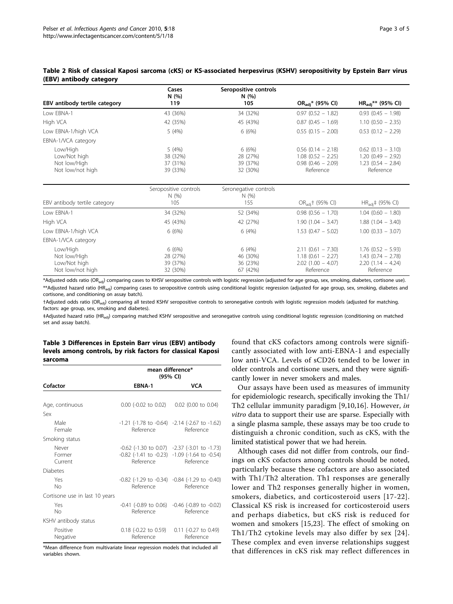<span id="page-2-0"></span>

|                         |  | Table 2 Risk of classical Kaposi sarcoma (cKS) or KS-associated herpesvirus (KSHV) seropositivity by Epstein Barr virus |
|-------------------------|--|-------------------------------------------------------------------------------------------------------------------------|
| (EBV) antibody category |  |                                                                                                                         |

| EBV antibody tertile category                                | Cases<br>N(%)<br>119                      | Seropositive controls<br>N(%)<br>105      | OR <sub>adi</sub> * (95% CI)                                                      | $HR_{adi}$ ** (95% CI)                                                           |
|--------------------------------------------------------------|-------------------------------------------|-------------------------------------------|-----------------------------------------------------------------------------------|----------------------------------------------------------------------------------|
| Low EBNA-1                                                   | 43 (36%)                                  | 34 (32%)                                  | $0.97(0.52 - 1.82)$                                                               | $0.93(0.45 - 1.98)$                                                              |
| High VCA                                                     | 42 (35%)                                  | 45 (43%)                                  | $0.87(0.45 - 1.69)$                                                               | $1.10$ (0.50 - 2.35)                                                             |
| Low EBNA-1/high VCA                                          | 5(4%)                                     | 6(6%)                                     | $0.55(0.15 - 2.00)$                                                               | $0.53$ (0.12 - 2.29)                                                             |
| EBNA-1/VCA category                                          |                                           |                                           |                                                                                   |                                                                                  |
| Low/High<br>Low/Not high<br>Not low/High<br>Not low/not high | 5(4%)<br>38 (32%)<br>37 (31%)<br>39 (33%) | 6(6%)<br>28 (27%)<br>39 (37%)<br>32 (30%) | $0.56$ (0.14 - 2.18)<br>$1.08$ (0.52 - 2.25)<br>$0.98$ (0.46 - 2.09)<br>Reference | $0.62$ (0.13 - 3.10)<br>$1.20(0.49 - 2.92)$<br>$1.23$ (0.54 - 2.84)<br>Reference |
| EBV antibody tertile category                                | Seropositive controls<br>N(%)<br>105      | Seronegative controls<br>N(%)<br>155      | OR <sub>adj</sub> † (95% CI)                                                      | $HR_{\text{adi}}$ (95% CI)                                                       |
| Low EBNA-1                                                   | 34 (32%)                                  | 52 (34%)                                  | $0.98$ $(0.56 - 1.70)$                                                            | $1.04$ (0.60 - 1.80)                                                             |
| High VCA                                                     | 45 (43%)                                  | 42 (27%)                                  | $1.90(1.04 - 3.47)$                                                               | $1.88(1.04 - 3.40)$                                                              |
| Low EBNA-1/high VCA                                          | 6(6%)                                     | 6(4%)                                     | $1.53(0.47 - 5.02)$                                                               | $1.00$ (0.33 - 3.07)                                                             |
| EBNA-1/VCA category                                          |                                           |                                           |                                                                                   |                                                                                  |
| Low/High<br>Not low/High<br>Low/Not high<br>Not low/not high | 6(6%)<br>28 (27%)<br>39 (37%)<br>32 (30%) | 6(4%)<br>46 (30%)<br>36 (23%)<br>67 (42%) | $2.11(0.61 - 7.30)$<br>$1.18$ (0.61 - 2.27)<br>$2.02$ (1.00 - 4.07)<br>Reference  | $1.76$ (0.52 - 5.93)<br>$1.43$ (0.74 - 2.78)<br>$2.20(1.14 - 4.24)$<br>Reference |

\*Adjusted odds ratio (OR<sub>adi</sub>) comparing cases to KHSV seropositive controls with logistic regression (adjusted for age group, sex, smoking, diabetes, cortisone use). \*\*Adjusted hazard ratio (HR<sub>adi</sub>) comparing cases to seropositive controls using conditional logistic regression (adjusted for age group, sex, smoking, diabetes and cortisone, and conditioning on assay batch).

†Adjusted odds ratio (ORadj) comparing all tested KSHV seropositive controls to seronegative controls with logistic regression models (adjusted for matching. factors: age group, sex, smoking and diabetes).

#Adjusted hazard ratio (HR<sub>adi</sub>) comparing matched KSHV seropositive and seronegative controls using conditional logistic regression (conditioning on matched set and assay batch).

## Table 3 Differences in Epstein Barr virus (EBV) antibody levels among controls, by risk factors for classical Kaposi sarcoma

|                                | mean difference*<br>(95% CI)                 |                                                                                                                                         |  |  |
|--------------------------------|----------------------------------------------|-----------------------------------------------------------------------------------------------------------------------------------------|--|--|
| Cofactor                       | EBNA-1                                       | <b>VCA</b>                                                                                                                              |  |  |
|                                |                                              |                                                                                                                                         |  |  |
| Age, continuous                | $0.00$ (-0.02 to 0.02) $0.02$ (0.00 to 0.04) |                                                                                                                                         |  |  |
| Sex                            |                                              |                                                                                                                                         |  |  |
| Male<br>Female                 |                                              | $-1.21$ ( $-1.78$ to $-0.64$ ) $-2.14$ ( $-2.67$ to $-1.62$ )<br>Reference Reference                                                    |  |  |
| Smoking status                 |                                              |                                                                                                                                         |  |  |
| Never<br>Former<br>Current     | Reference                                    | $-0.62$ ( $-1.30$ to 0.07) $-2.37$ ( $-3.01$ to $-1.73$ )<br>$-0.82$ ( $-1.41$ to $-0.23$ ) $-1.09$ ( $-1.64$ to $-0.54$ )<br>Reference |  |  |
| <b>Diabetes</b>                |                                              |                                                                                                                                         |  |  |
| Yes<br>No                      |                                              | $-0.82$ ( $-1.29$ to $-0.34$ ) $-0.84$ ( $-1.29$ to $-0.40$ )<br>Reference Reference                                                    |  |  |
| Cortisone use in last 10 years |                                              |                                                                                                                                         |  |  |
| Yes<br>No                      |                                              | $-0.41$ ( $-0.89$ to 0.06) $-0.46$ ( $-0.89$ to $-0.02$ )<br>Reference Reference                                                        |  |  |
| KSHV antibody status           |                                              |                                                                                                                                         |  |  |
| Positive<br>Negative           | Reference                                    | $0.18$ (-0.22 to 0.59) $0.11$ (-0.27 to 0.49)<br>Reference                                                                              |  |  |

\*Mean difference from multivariate linear regression models that included all variables shown.

found that cKS cofactors among controls were significantly associated with low anti-EBNA-1 and especially low anti-VCA. Levels of sCD26 tended to be lower in older controls and cortisone users, and they were significantly lower in never smokers and males.

Our assays have been used as measures of immunity for epidemiologic research, specifically invoking the Th1/ Th2 cellular immunity paradigm [[9,10](#page-3-0),[16\]](#page-4-0). However, in vitro data to support their use are sparse. Especially with a single plasma sample, these assays may be too crude to distinguish a chronic condition, such as cKS, with the limited statistical power that we had herein.

Although cases did not differ from controls, our findings on cKS cofactors among controls should be noted, particularly because these cofactors are also associated with Th1/Th2 alteration. Th1 responses are generally lower and Th2 responses generally higher in women, smokers, diabetics, and corticosteroid users [[17](#page-4-0)-[22\]](#page-4-0). Classical KS risk is increased for corticosteroid users and perhaps diabetics, but cKS risk is reduced for women and smokers [\[15](#page-4-0),[23\]](#page-4-0). The effect of smoking on Th1/Th2 cytokine levels may also differ by sex [[24\]](#page-4-0). These complex and even inverse relationships suggest that differences in cKS risk may reflect differences in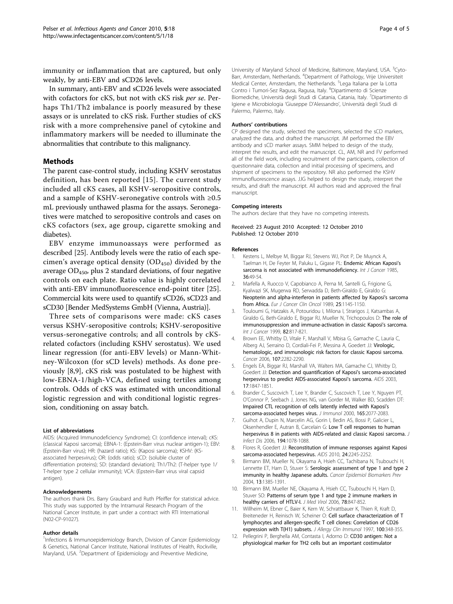<span id="page-3-0"></span>immunity or inflammation that are captured, but only weakly, by anti-EBV and sCD26 levels.

In summary, anti-EBV and sCD26 levels were associated with cofactors for cKS, but not with cKS risk per se. Perhaps Th1/Th2 imbalance is poorly measured by these assays or is unrelated to cKS risk. Further studies of cKS risk with a more comprehensive panel of cytokine and inflammatory markers will be needed to illuminate the abnormalities that contribute to this malignancy.

## Methods

The parent case-control study, including KSHV serostatus definition, has been reported [[15\]](#page-4-0). The current study included all cKS cases, all KSHV-seropositive controls, and a sample of KSHV-seronegative controls with  $\geq 0.5$ mL previously unthawed plasma for the assays. Seronegatives were matched to seropositive controls and cases on cKS cofactors (sex, age group, cigarette smoking and diabetes).

EBV enzyme immunoassays were performed as described [[25](#page-4-0)]. Antibody levels were the ratio of each specimen's average optical density  $(OD_{450})$  divided by the average  $OD_{450}$ , plus 2 standard deviations, of four negative controls on each plate. Ratio value is highly correlated with anti-EBV immunofluorescence end-point titer [\[25](#page-4-0)]. Commercial kits were used to quantify sCD26, sCD23 and sCD30 [Bender MedSystems GmbH (Vienna, Austria)].

Three sets of comparisons were made: cKS cases versus KSHV-seropositive controls; KSHV-seropositive versus-seronegative controls; and all controls by cKSrelated cofactors (including KSHV serostatus). We used linear regression (for anti-EBV levels) or Mann-Whitney-Wilcoxon (for sCD levels) methods. As done previously [8,9], cKS risk was postulated to be highest with low-EBNA-1/high-VCA, defined using tertiles among controls. Odds of cKS was estimated with unconditional logistic regression and with conditional logistic regression, conditioning on assay batch.

#### List of abbreviations

AIDS: (Acquired Immunodeficiency Syndrome); CI: (confidence interval); cKS: (classical Kaposi sarcoma); EBNA-1: (Epstein-Barr virus nuclear antigen-1); EBV: (Epstein-Barr virus); HR: (hazard ratio); KS: (Kaposi sarcoma); KSHV: (KSassociated herpesvirus); OR: (odds ratio); sCD: (soluble cluster of differentiation proteins); SD: (standard deviation); Th1/Th2: (T-helper type 1/ T-helper type 2 cellular immunity); VCA: (Epstein-Barr virus viral capsid antigen).

#### Acknowledgements

The authors thank Drs. Barry Graubard and Ruth Pfeiffer for statistical advice. This study was supported by the Intramural Research Program of the National Cancer Institute, in part under a contract with RTI International (N02-CP-91027).

#### Author details

<sup>1</sup>Infections & Immunoepidemiology Branch, Division of Cancer Epidemiology & Genetics, National Cancer Institute, National Institutes of Health, Rockville, Maryland, USA. <sup>2</sup>Department of Epidemiology and Preventive Medicine,

University of Maryland School of Medicine, Baltimore, Maryland, USA. <sup>3</sup>Cyto-Barr, Amsterdam, Netherlands. <sup>4</sup>Department of Pathology, Vrije Universiteit Medical Center, Amsterdam, the Netherlands. <sup>5</sup> Lega Italiana per la Lotta Contro i Tumori-Sez Ragusa, Ragusa, Italy. <sup>6</sup>Dipartimento di Scienze Biomediche, Università degli Studi di Catania, Catania, Italy. <sup>7</sup>Dipartimento di Igiene e Microbiologia 'Giuseppe D'Alessandro', Università degli Studi di Palermo, Palermo, Italy.

#### Authors' contributions

CP designed the study, selected the specimens, selected the sCD markers, analyzed the data, and drafted the manuscript. JM performed the EBV antibody and sCD marker assays. SMM helped to design of the study, interpret the results, and edit the manuscript. CL, AM, NR and FV performed all of the field work, including recruitment of the participants, collection of questionnaire data, collection and initial processing of specimens, and shipment of specimens to the repository. NR also performed the KSHV immunofluorescence assays. JJG helped to design the study, interpret the results, and draft the manuscript. All authors read and approved the final manuscript.

#### Competing interests

The authors declare that they have no competing interests.

Received: 23 August 2010 Accepted: 12 October 2010 Published: 12 October 2010

#### References

- Kestens L, Melbye M, Biggar RJ, Stevens WJ, Piot P, De Muynck A, Taelman H, De Feyter M, Paluku L, Gigase PL: [Endemic African Kaposi](http://www.ncbi.nlm.nih.gov/pubmed/4018905?dopt=Abstract)'s [sarcoma is not associated with immunodeficiency.](http://www.ncbi.nlm.nih.gov/pubmed/4018905?dopt=Abstract) Int J Cancer 1985, 36:49-54.
- 2. Marfella A, Ruocco V, Capobianco A, Perna M, Santelli G, Frigione G, Kyalwazi SK, Mugerwa RD, Serwadda D, Beth-Giraldo E, Giraldo G: [Neopterin and alpha-interferon in patients affected by Kaposi](http://www.ncbi.nlm.nih.gov/pubmed/2767104?dopt=Abstract)'s sarcoma [from Africa.](http://www.ncbi.nlm.nih.gov/pubmed/2767104?dopt=Abstract) Eur J Cancer Clin Oncol 1989, 25:1145-1150.
- 3. Touloumi G, Hatzakis A, Potouridou I, Milona I, Strarigos J, Katsambas A, Giraldo G, Beth-Giraldo E, Biggar RJ, Mueller N, Trichopoulos D: [The role of](http://www.ncbi.nlm.nih.gov/pubmed/10446447?dopt=Abstract) [immunosuppression and immune-activation in classic Kaposi](http://www.ncbi.nlm.nih.gov/pubmed/10446447?dopt=Abstract)'s sarcoma. Int J Cancer 1999, 82:817-821.
- 4. Brown EE, Whitby D, Vitale F, Marshall V, Mbisa G, Gamache C, Lauria C, Alberg AJ, Serraino D, Cordiali-Fei P, Messina A, Goedert JJ: [Virologic,](http://www.ncbi.nlm.nih.gov/pubmed/16998933?dopt=Abstract) [hematologic, and immunologic risk factors for classic Kaposi sarcoma.](http://www.ncbi.nlm.nih.gov/pubmed/16998933?dopt=Abstract) Cancer 2006, 107:2282-2290.
- 5. Engels EA, Biggar RJ, Marshall VA, Walters MA, Gamache CJ, Whitby D, Goedert JJ: [Detection and quantification of Kaposi](http://www.ncbi.nlm.nih.gov/pubmed/12891072?dopt=Abstract)'s sarcoma-associated [herpesvirus to predict AIDS-associated Kaposi](http://www.ncbi.nlm.nih.gov/pubmed/12891072?dopt=Abstract)'s sarcoma. AIDS 2003, 17:1847-1851.
- 6. Brander C, Suscovich T, Lee Y, Brander C, Suscovich T, Lee Y, Nguyen PT, O'Connor P, Seebach J, Jones NG, van Gorder M, Walker BD, Scadden DT: [Impaired CTL recognition of cells latently infected with Kaposi](http://www.ncbi.nlm.nih.gov/pubmed/10925292?dopt=Abstract)'s [sarcoma-associated herpes virus.](http://www.ncbi.nlm.nih.gov/pubmed/10925292?dopt=Abstract) J Immunol 2000, 165:2077-2083.
- 7. Guihot A, Dupin N, Marcelin AG, Gorin I, Bedin AS, Bossi P, Galicier L, Oksenhendler E, Autran B, Carcelain G: [Low T cell responses to human](http://www.ncbi.nlm.nih.gov/pubmed/16991082?dopt=Abstract) [herpesvirus 8 in patients with AIDS-related and classic Kaposi sarcoma.](http://www.ncbi.nlm.nih.gov/pubmed/16991082?dopt=Abstract) J Infect Dis 2006, 194:1078-1088.
- 8. Flores R, Goedert JJ: [Reconstitution of immune responses against Kaposi](http://www.ncbi.nlm.nih.gov/pubmed/20543658?dopt=Abstract) [sarcoma-associated herpesvirus.](http://www.ncbi.nlm.nih.gov/pubmed/20543658?dopt=Abstract) AIDS 2010, 24:2245-2252.
- Birmann BM, Mueller N, Okayama A, Hsieh CC, Tachibana N, Tsubouchi H, Lennette ET, Harn D, Stuver S: [Serologic assessment of type 1 and type 2](http://www.ncbi.nlm.nih.gov/pubmed/15298962?dopt=Abstract) [immunity in healthy Japanese adults.](http://www.ncbi.nlm.nih.gov/pubmed/15298962?dopt=Abstract) Cancer Epidemiol Biomarkers Prev 2004, 13:1385-1391.
- 10. Birmann BM, Mueller NE, Okayama A, Hsieh CC, Tsubouchi H, Harn D, Stuver SO: [Patterns of serum type 1 and type 2 immune markers in](http://www.ncbi.nlm.nih.gov/pubmed/16628590?dopt=Abstract) [healthy carriers of HTLV-I.](http://www.ncbi.nlm.nih.gov/pubmed/16628590?dopt=Abstract) J Med Virol 2006, 78:847-852.
- 11. Willheim M, Ebner C, Baier K, Kern W, Schrattbauer K, Thien R, Kraft D, Breiteneder H, Reinisch W, Scheiner O: [Cell surface characterization of T](http://www.ncbi.nlm.nih.gov/pubmed/9314347?dopt=Abstract) [lymphocytes and allergen-specific T cell clones: Correlation of CD26](http://www.ncbi.nlm.nih.gov/pubmed/9314347?dopt=Abstract) [expression with T\(H1\) subsets.](http://www.ncbi.nlm.nih.gov/pubmed/9314347?dopt=Abstract) J Allergy Clin Immunol 1997, 100:348-355.
- 12. Pellegrini P, Berghella AM, Contasta I, Adorno D: [CD30 antigen: Not a](http://www.ncbi.nlm.nih.gov/pubmed/14551032?dopt=Abstract) [physiological marker for TH2 cells but an important costimulator](http://www.ncbi.nlm.nih.gov/pubmed/14551032?dopt=Abstract)